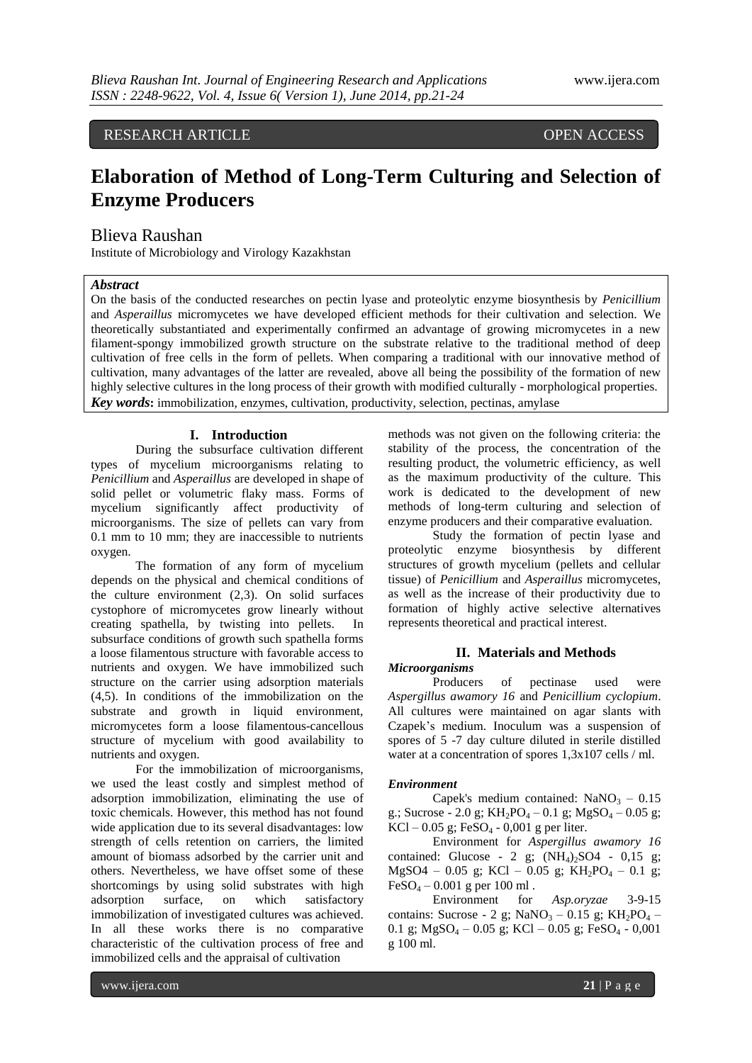# RESEARCH ARTICLE OPEN ACCESS

# **Elaboration of Method of Long-Term Culturing and Selection of Enzyme Producers**

# Blieva Raushan

Institute of Microbiology and Virology Kazakhstan

## *Abstract*

On the basis of the conducted researches on pectin lyase and proteolytic enzyme biosynthesis by *Penicillium* and *Asperaillus* micromycetes we have developed efficient methods for their cultivation and selection. We theoretically substantiated and experimentally confirmed an advantage of growing micromycetes in a new filament-spongy immobilized growth structure on the substrate relative to the traditional method of deep cultivation of free cells in the form of pellets. When comparing a traditional with our innovative method of cultivation, many advantages of the latter are revealed, above all being the possibility of the formation of new highly selective cultures in the long process of their growth with modified culturally - morphological properties. *Key words***:** immobilization, enzymes, cultivation, productivity, selection, pectinas, amylase

### **I. Introduction**

During the subsurface cultivation different types of mycelium microorganisms relating to *Penicillium* and *Asperaillus* are developed in shape of solid pellet or volumetric flaky mass. Forms of mycelium significantly affect productivity of microorganisms. The size of pellets can vary from 0.1 mm to 10 mm; they are inaccessible to nutrients oxygen.

The formation of any form of mycelium depends on the physical and chemical conditions of the culture environment (2,3). On solid surfaces cystophore of micromycetes grow linearly without creating spathella, by twisting into pellets. In subsurface conditions of growth such spathella forms a loose filamentous structure with favorable access to nutrients and oxygen. We have immobilized such structure on the carrier using adsorption materials (4,5). In conditions of the immobilization on the substrate and growth in liquid environment, micromycetes form a loose filamentous-cancellous structure of mycelium with good availability to nutrients and oxygen.

For the immobilization of microorganisms, we used the least costly and simplest method of adsorption immobilization, eliminating the use of toxic chemicals. However, this method has not found wide application due to its several disadvantages: low strength of cells retention on carriers, the limited amount of biomass adsorbed by the carrier unit and others. Nevertheless, we have offset some of these shortcomings by using solid substrates with high adsorption surface, on which satisfactory immobilization of investigated cultures was achieved. In all these works there is no comparative characteristic of the cultivation process of free and immobilized cells and the appraisal of cultivation

methods was not given on the following criteria: the stability of the process, the concentration of the resulting product, the volumetric efficiency, as well as the maximum productivity of the culture. This work is dedicated to the development of new methods of long-term culturing and selection of enzyme producers and their comparative evaluation.

Study the formation of pectin lyase and proteolytic enzyme biosynthesis by different structures of growth mycelium (pellets and cellular tissue) of *Penicillium* and *Asperaillus* micromycetes, as well as the increase of their productivity due to formation of highly active selective alternatives represents theoretical and practical interest.

## **II. Materials and Methods**

#### *Microorganisms*

Producers of pectinase used were *Aspergillus awamory 16* and *Penicillium cyclopium*. All cultures were maintained on agar slants with Czapek's medium. Inoculum was a suspension of spores of 5 -7 day culture diluted in sterile distilled water at a concentration of spores 1,3x107 cells / ml.

#### *Environment*

Capek's medium contained:  $NaNO<sub>3</sub> - 0.15$ g.; Sucrose - 2.0 g;  $KH_2PO_4 - 0.1$  g;  $MgSO_4 - 0.05$  g;  $KCl - 0.05$  g; FeSO<sub>4</sub> - 0,001 g per liter.

Environment for *Aspergillus awamory 16* contained: Glucose - 2 g;  $(NH<sub>4</sub>)<sub>2</sub>SO4$  - 0,15 g;  $MgSO4 - 0.05$  g; KCl – 0.05 g; KH<sub>2</sub>PO<sub>4</sub> – 0.1 g;  $FeSO_4 - 0.001$  g per 100 ml.

Environment for *Asp.oryzae* 3-9-15 contains: Sucrose - 2 g; NaNO<sub>3</sub> – 0.15 g; KH<sub>2</sub>PO<sub>4</sub> – 0.1 g;  $MgSO_4 - 0.05$  g;  $KCl - 0.05$  g;  $FeSO_4 - 0.001$ g 100 ml.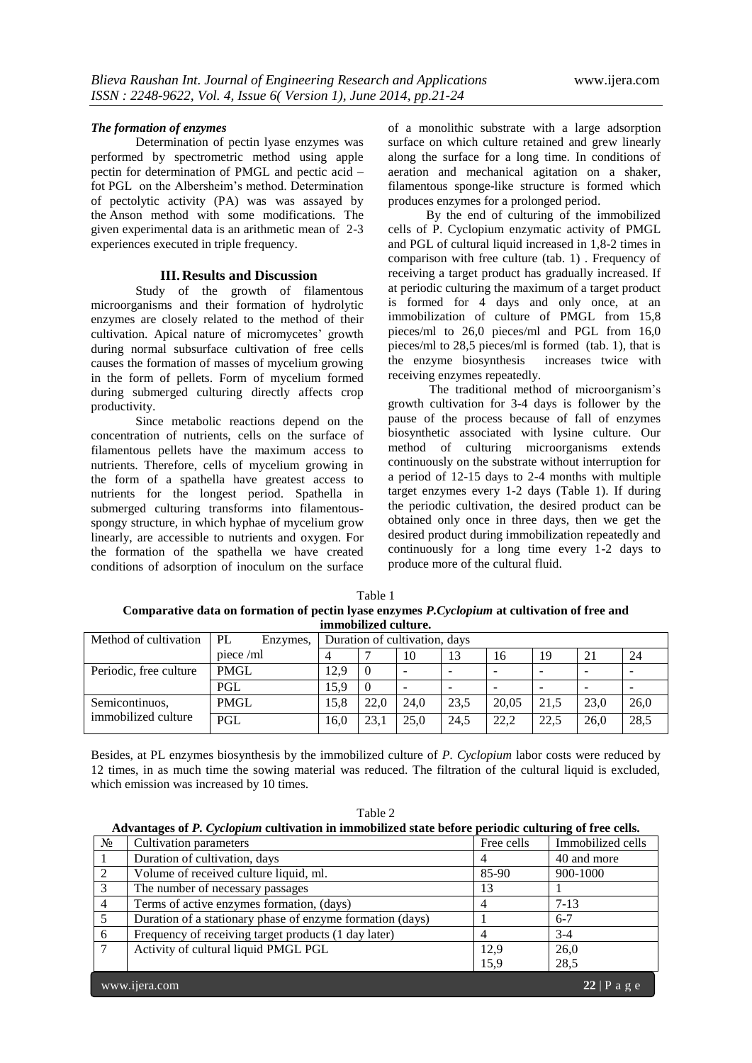#### *The formation of enzymes*

Determination of pectin lyase enzymes was performed by spectrometric method using apple pectin for determination of PMGL and pectic acid – fot PGL on the Albersheim's method. Determination of pectolytic activity (PA) was was assayed by the Anson method with some modifications. The given experimental data is an arithmetic mean of 2-3 experiences executed in triple frequency.

#### **III.Results and Discussion**

Study of the growth of filamentous microorganisms and their formation of hydrolytic enzymes are closely related to the method of their cultivation. Apical nature of micromycetes' growth during normal subsurface cultivation of free cells causes the formation of masses of mycelium growing in the form of pellets. Form of mycelium formed during submerged culturing directly affects crop productivity.

Since metabolic reactions depend on the concentration of nutrients, cells on the surface of filamentous pellets have the maximum access to nutrients. Therefore, cells of mycelium growing in the form of a spathella have greatest access to nutrients for the longest period. Spathella in submerged culturing transforms into filamentousspongy structure, in which hyphae of mycelium grow linearly, are accessible to nutrients and oxygen. For the formation of the spathella we have created conditions of adsorption of inoculum on the surface of a monolithic substrate with a large adsorption surface on which culture retained and grew linearly along the surface for a long time. In conditions of aeration and mechanical agitation on a shaker, filamentous sponge-like structure is formed which produces enzymes for a prolonged period.

 By the end of culturing of the immobilized cells of P. Cyclopium enzymatic activity of PMGL and PGL of cultural liquid increased in 1,8-2 times in comparison with free culture (tab. 1). Frequency of receiving a target product has gradually increased. If at periodic culturing the maximum of a target product is formed for 4 days and only once, at an immobilization of culture of PMGL from 15,8 pieces/ml to 26,0 pieces/ml and PGL from 16,0 pieces/ml to 28,5 pieces/ml is formed (tab. 1), that is the enzyme biosynthesis increases twice with receiving enzymes repeatedly.

 The traditional method of microorganism's growth cultivation for 3-4 days is follower by the pause of the process because of fall of enzymes biosynthetic associated with lysine culture. Our method of culturing microorganisms extends continuously on the substrate without interruption for a period of 12-15 days to 2-4 months with multiple target enzymes every 1-2 days (Table 1). If during the periodic cultivation, the desired product can be obtained only once in three days, then we get the desired product during immobilization repeatedly and continuously for a long time every 1-2 days to produce more of the cultural fluid.

| Table 1                                                                                       |
|-----------------------------------------------------------------------------------------------|
| Comparative data on formation of pectin lyase enzymes P. Cyclopium at cultivation of free and |
| immobilized culture.                                                                          |

| Method of cultivation  | PL<br>Enzymes, | Duration of cultivation, days |                |      |                          |       |                          |                          |      |
|------------------------|----------------|-------------------------------|----------------|------|--------------------------|-------|--------------------------|--------------------------|------|
| piece / ml             |                |                               |                | 10   | 13                       | 16    | 19                       | 2 <sub>1</sub>           | 24   |
| Periodic, free culture | <b>PMGL</b>    | 12.9                          | $\overline{0}$ | -    | $\overline{\phantom{a}}$ | -     | $\overline{\phantom{0}}$ | $\overline{\phantom{0}}$ |      |
|                        | PGL            | 15.9                          | $\overline{0}$ | -    | $\overline{\phantom{a}}$ | -     | -                        |                          |      |
| Semicontinuos,         | <b>PMGL</b>    | 15.8                          | 22.0           | 24.0 | 23.5                     | 20.05 | 21.5                     | 23.0                     | 26,0 |
| immobilized culture    | PGL            | 16.0                          | 23.1           | 25.0 | 24.5                     | 22.2  | 22.5                     | 26.0                     | 28,5 |

Besides, at PL enzymes biosynthesis by the immobilized culture of *P. Cyclopium* labor costs were reduced by 12 times, in as much time the sowing material was reduced. The filtration of the cultural liquid is excluded, which emission was increased by 10 times.

| able |  |
|------|--|
|      |  |

| Advantages of P. Cyclopium cultivation in immobilized state before periodic culturing of free cells. |  |  |  |  |
|------------------------------------------------------------------------------------------------------|--|--|--|--|
|                                                                                                      |  |  |  |  |

| N <sub>2</sub>  | Cultivation parameters                                    | Free cells | Immobilized cells |  |  |  |
|-----------------|-----------------------------------------------------------|------------|-------------------|--|--|--|
|                 | Duration of cultivation, days                             |            | 40 and more       |  |  |  |
| 2               | Volume of received culture liquid, ml.                    | 85-90      | 900-1000          |  |  |  |
| 3               | The number of necessary passages                          | 13         |                   |  |  |  |
| $\overline{4}$  | Terms of active enzymes formation, (days)                 |            | $7-13$            |  |  |  |
| 5               | Duration of a stationary phase of enzyme formation (days) |            | $6 - 7$           |  |  |  |
| 6               | Frequency of receiving target products (1 day later)      |            | $3-4$             |  |  |  |
| $7\phantom{.0}$ | Activity of cultural liquid PMGL PGL                      | 12,9       | 26,0              |  |  |  |
|                 |                                                           | 15,9       | 28,5              |  |  |  |
|                 | www.ijera.com<br>$22 \mid P$ a g e                        |            |                   |  |  |  |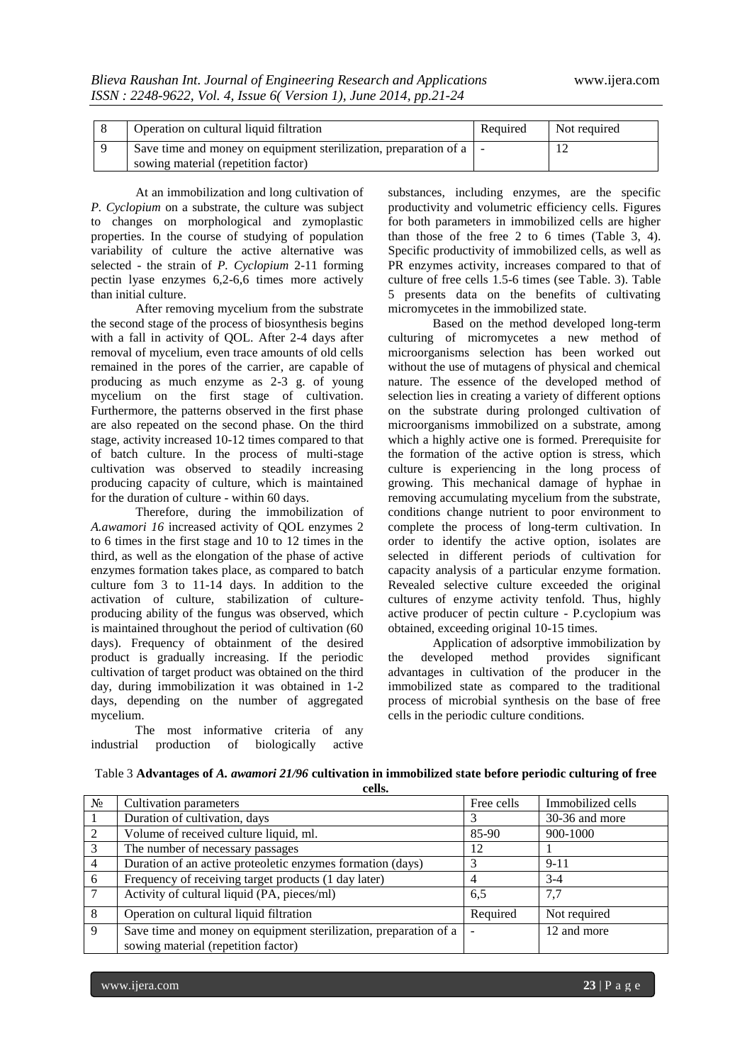| Operation on cultural liquid filtration                                                                     | Required | Not required |
|-------------------------------------------------------------------------------------------------------------|----------|--------------|
| Save time and money on equipment sterilization, preparation of a   -<br>sowing material (repetition factor) |          |              |

At an immobilization and long cultivation of *P. Cyclopium* on a substrate, the culture was subject to changes on morphological and zymoplastic properties. In the course of studying of population variability of culture the active alternative was selected - the strain of *P. Cyclopium* 2-11 forming pectin lyase enzymes 6,2-6,6 times more actively than initial culture.

After removing mycelium from the substrate the second stage of the process of biosynthesis begins with a fall in activity of QOL. After 2-4 days after removal of mycelium, even trace amounts of old cells remained in the pores of the carrier, are capable of producing as much enzyme as 2-3 g. of young mycelium on the first stage of cultivation. Furthermore, the patterns observed in the first phase are also repeated on the second phase. On the third stage, activity increased 10-12 times compared to that of batch culture. In the process of multi-stage cultivation was observed to steadily increasing producing capacity of culture, which is maintained for the duration of culture - within 60 days.

Therefore, during the immobilization of *A.awamori 16* increased activity of QOL enzymes 2 to 6 times in the first stage and 10 to 12 times in the third, as well as the elongation of the phase of active enzymes formation takes place, as compared to batch culture fom 3 to 11-14 days. In addition to the activation of culture, stabilization of cultureproducing ability of the fungus was observed, which is maintained throughout the period of cultivation (60 days). Frequency of obtainment of the desired product is gradually increasing. If the periodic cultivation of target product was obtained on the third day, during immobilization it was obtained in 1-2 days, depending on the number of aggregated mycelium.

 The most informative criteria of any industrial production of biologically active substances, including enzymes, are the specific productivity and volumetric efficiency cells. Figures for both parameters in immobilized cells are higher than those of the free 2 to 6 times (Table 3, 4). Specific productivity of immobilized cells, as well as PR enzymes activity, increases compared to that of culture of free cells 1.5-6 times (see Table. 3). Table 5 presents data on the benefits of cultivating micromycetes in the immobilized state.

Based on the method developed long-term culturing of micromycetes a new method of microorganisms selection has been worked out without the use of mutagens of physical and chemical nature. The essence of the developed method of selection lies in creating a variety of different options on the substrate during prolonged cultivation of microorganisms immobilized on a substrate, among which a highly active one is formed. Prerequisite for the formation of the active option is stress, which culture is experiencing in the long process of growing. This mechanical damage of hyphae in removing accumulating mycelium from the substrate, conditions change nutrient to poor environment to complete the process of long-term cultivation. In order to identify the active option, isolates are selected in different periods of cultivation for capacity analysis of a particular enzyme formation. Revealed selective culture exceeded the original cultures of enzyme activity tenfold. Thus, highly active producer of pectin culture - P.cyclopium was obtained, exceeding original 10-15 times.

Application of adsorptive immobilization by the developed method provides significant advantages in cultivation of the producer in the immobilized state as compared to the traditional process of microbial synthesis on the base of free cells in the periodic culture conditions.

| $N_2$          | Cultivation parameters                                           | Free cells | Immobilized cells |
|----------------|------------------------------------------------------------------|------------|-------------------|
|                | Duration of cultivation, days                                    |            | 30-36 and more    |
| 2              | Volume of received culture liquid, ml.                           | 85-90      | 900-1000          |
| 3              | The number of necessary passages                                 | 12         |                   |
| $\overline{4}$ | Duration of an active proteoletic enzymes formation (days)       |            | $9 - 11$          |
| 6              | Frequency of receiving target products (1 day later)             |            | $3-4$             |
| 7              | Activity of cultural liquid (PA, pieces/ml)                      | 6.5        | 7,7               |
| 8              | Operation on cultural liquid filtration                          | Required   | Not required      |
| 9              | Save time and money on equipment sterilization, preparation of a |            | 12 and more       |
|                | sowing material (repetition factor)                              |            |                   |

Table 3 **Advantages of** *A. awamori 21/96* **cultivation in immobilized state before periodic culturing of free cells.**